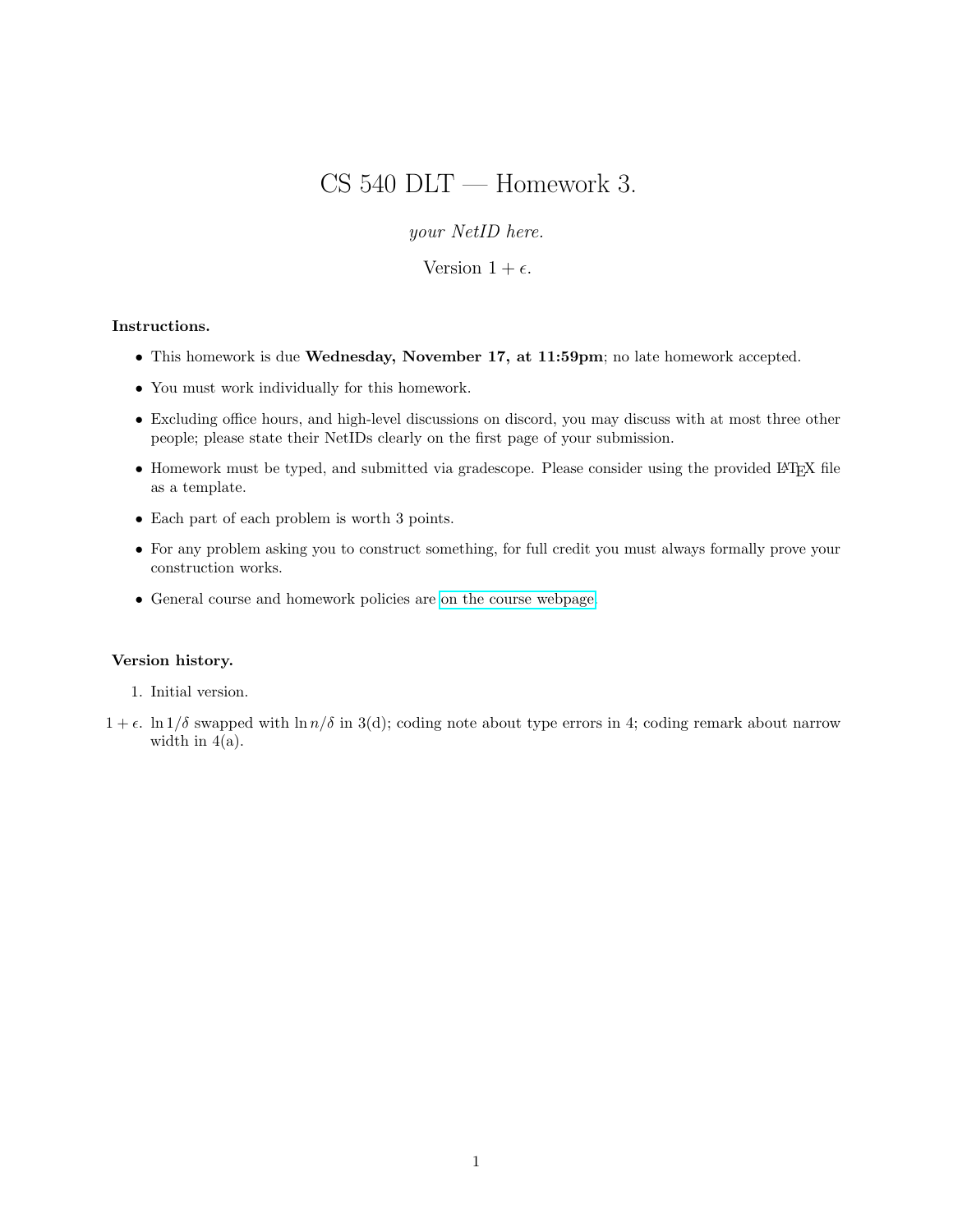# CS 540 DLT — Homework 3.

your NetID here.

Version  $1 + \epsilon$ .

### Instructions.

- This homework is due Wednesday, November 17, at 11:59pm; no late homework accepted.
- You must work individually for this homework.
- Excluding office hours, and high-level discussions on discord, you may discuss with at most three other people; please state their NetIDs clearly on the first page of your submission.
- Homework must be typed, and submitted via gradescope. Please consider using the provided LATEX file as a template.
- Each part of each problem is worth 3 points.
- For any problem asking you to construct something, for full credit you must always formally prove your construction works.
- General course and homework policies are [on the course webpage.](http://mjt.cs.illinois.edu/courses/dlt-f21/)

#### Version history.

- 1. Initial version.
- $1 + \epsilon$ . ln  $1/\delta$  swapped with ln  $n/\delta$  in 3(d); coding note about type errors in 4; coding remark about narrow width in  $4(a)$ .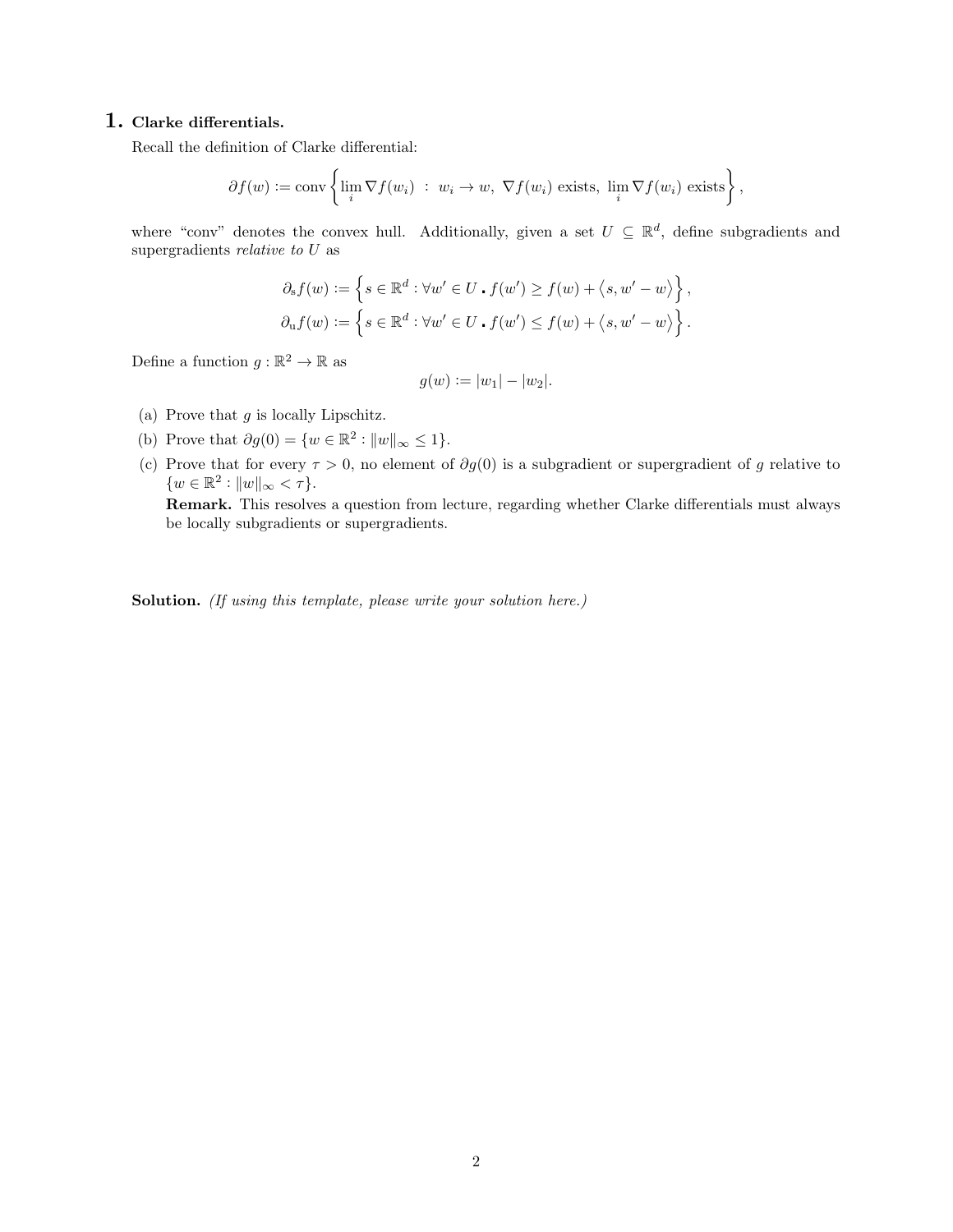## 1. Clarke differentials.

Recall the definition of Clarke differential:

$$
\partial f(w) := \text{conv}\left\{\lim_{i} \nabla f(w_i) : w_i \to w, \ \nabla f(w_i) \text{ exists, } \lim_{i} \nabla f(w_i) \text{ exists}\right\},\
$$

where "conv" denotes the convex hull. Additionally, given a set  $U \subseteq \mathbb{R}^d$ , define subgradients and supergradients relative to U as

$$
\partial_s f(w) := \left\{ s \in \mathbb{R}^d : \forall w' \in U \cdot f(w') \ge f(w) + \langle s, w' - w \rangle \right\},\
$$

$$
\partial_u f(w) := \left\{ s \in \mathbb{R}^d : \forall w' \in U \cdot f(w') \le f(w) + \langle s, w' - w \rangle \right\}.
$$

Define a function  $g : \mathbb{R}^2 \to \mathbb{R}$  as

$$
g(w) := |w_1| - |w_2|.
$$

- (a) Prove that  $g$  is locally Lipschitz.
- (b) Prove that  $\partial g(0) = \{w \in \mathbb{R}^2 : ||w||_{\infty} \leq 1\}.$
- (c) Prove that for every  $\tau > 0$ , no element of  $\partial g(0)$  is a subgradient or supergradient of g relative to  $\{w \in \mathbb{R}^2 : ||w||_{\infty} < \tau\}.$

Remark. This resolves a question from lecture, regarding whether Clarke differentials must always be locally subgradients or supergradients.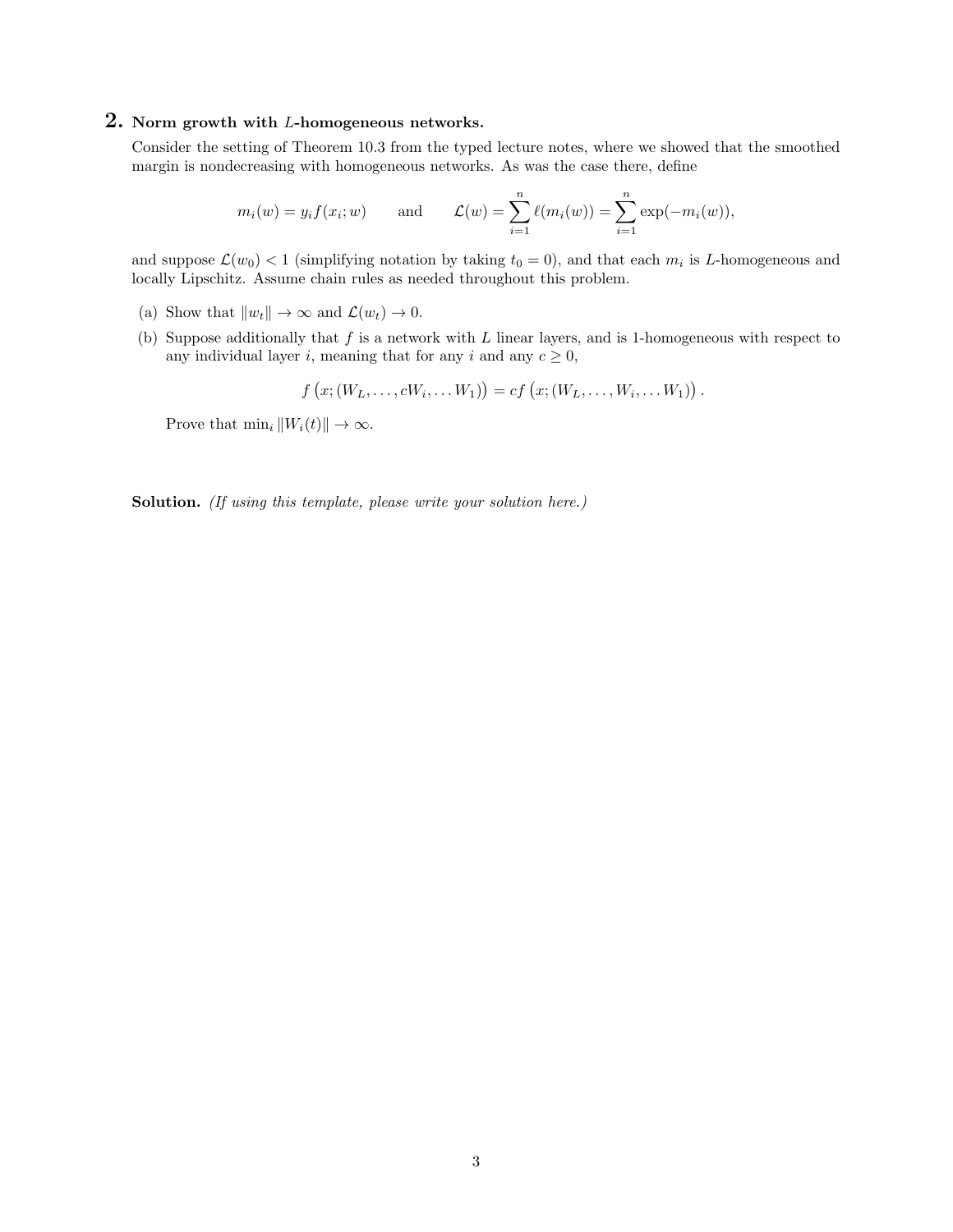# 2. Norm growth with <sup>L</sup>-homogeneous networks.

Consider the setting of Theorem 10.3 from the typed lecture notes, where we showed that the smoothed margin is nondecreasing with homogeneous networks. As was the case there, define

$$
m_i(w) = y_i f(x_i; w)
$$
 and  $\mathcal{L}(w) = \sum_{i=1}^n \ell(m_i(w)) = \sum_{i=1}^n \exp(-m_i(w)),$ 

and suppose  $\mathcal{L}(w_0) < 1$  (simplifying notation by taking  $t_0 = 0$ ), and that each  $m_i$  is L-homogeneous and locally Lipschitz. Assume chain rules as needed throughout this problem.

- (a) Show that  $||w_t|| \to \infty$  and  $\mathcal{L}(w_t) \to 0$ .
- (b) Suppose additionally that  $f$  is a network with  $L$  linear layers, and is 1-homogeneous with respect to any individual layer i, meaning that for any i and any  $c \geq 0$ ,

$$
f(x; (W_L, ..., cW_i, ..., W_1)) = cf(x; (W_L, ..., W_i, ..., W_1)).
$$

Prove that  $\min_i ||W_i(t)|| \to \infty$ .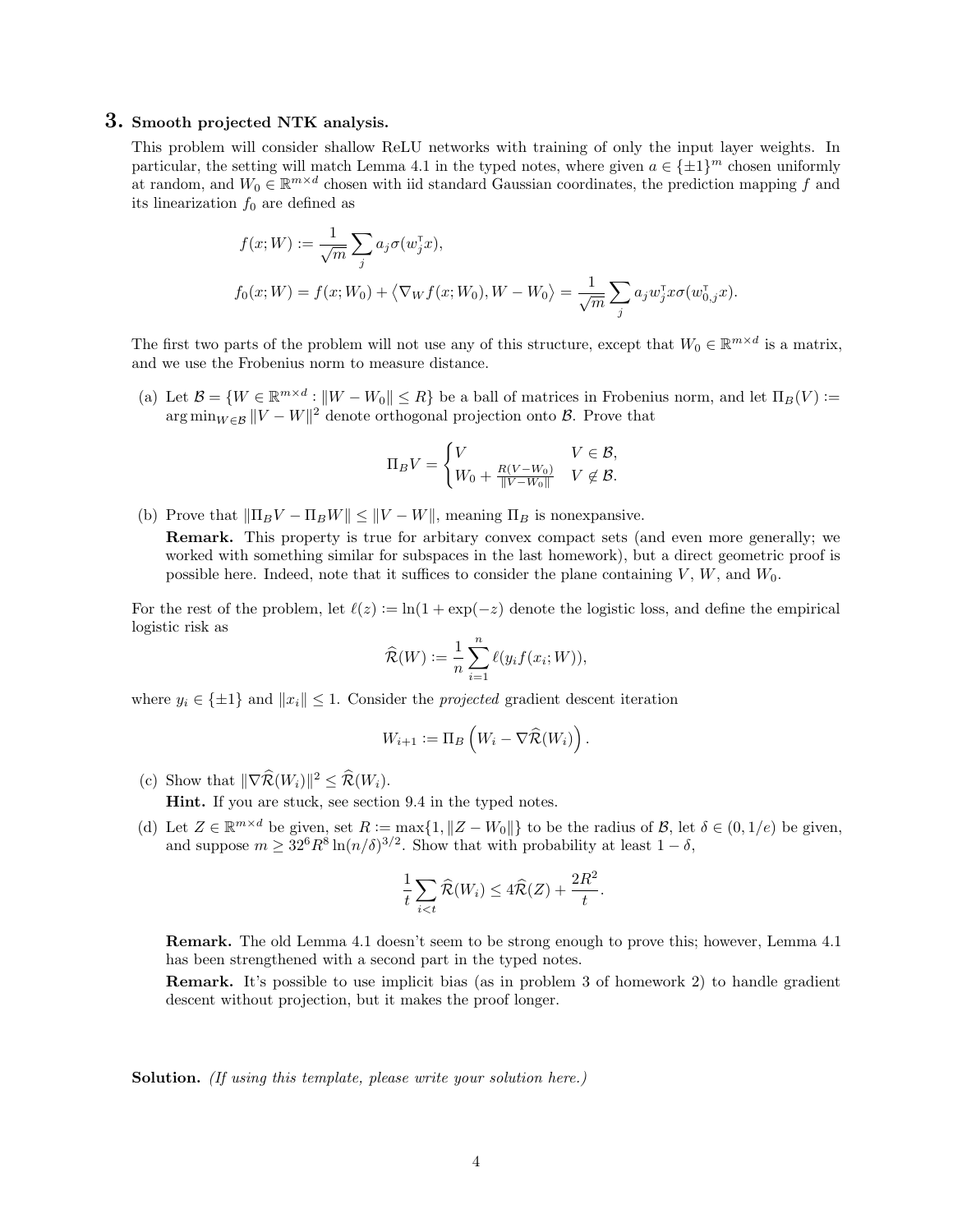# 3. Smooth projected NTK analysis.

This problem will consider shallow ReLU networks with training of only the input layer weights. In particular, the setting will match Lemma 4.1 in the typed notes, where given  $a \in \{\pm 1\}^m$  chosen uniformly at random, and  $W_0 \in \mathbb{R}^{m \times d}$  chosen with iid standard Gaussian coordinates, the prediction mapping f and its linearization  $f_0$  are defined as

$$
f(x;W) := \frac{1}{\sqrt{m}} \sum_{j} a_j \sigma(w_j^{\mathsf{T}} x),
$$
  

$$
f_0(x;W) = f(x;W_0) + \langle \nabla_W f(x;W_0), W - W_0 \rangle = \frac{1}{\sqrt{m}} \sum_{j} a_j w_j^{\mathsf{T}} x \sigma(w_{0,j}^{\mathsf{T}} x).
$$

The first two parts of the problem will not use any of this structure, except that  $W_0 \in \mathbb{R}^{m \times d}$  is a matrix, and we use the Frobenius norm to measure distance.

(a) Let  $\mathcal{B} = \{W \in \mathbb{R}^{m \times d} : ||W - W_0|| \le R\}$  be a ball of matrices in Frobenius norm, and let  $\Pi_B(V)$ :=  $\arg \min_{W \in \mathcal{B}} ||V - W||^2$  denote orthogonal projection onto  $\mathcal{B}$ . Prove that

$$
\Pi_B V = \begin{cases} V & V \in \mathcal{B}, \\ W_0 + \frac{R(V - W_0)}{\|V - W_0\|} & V \notin \mathcal{B}. \end{cases}
$$

(b) Prove that  $\|\Pi_B V - \Pi_B W\| \leq \|V - W\|$ , meaning  $\Pi_B$  is nonexpansive.

Remark. This property is true for arbitary convex compact sets (and even more generally; we worked with something similar for subspaces in the last homework), but a direct geometric proof is possible here. Indeed, note that it suffices to consider the plane containing  $V, W$ , and  $W_0$ .

For the rest of the problem, let  $\ell(z) := \ln(1 + \exp(-z))$  denote the logistic loss, and define the empirical logistic risk as

$$
\widehat{\mathcal{R}}(W) := \frac{1}{n} \sum_{i=1}^{n} \ell(y_i f(x_i; W)),
$$

where  $y_i \in \{\pm 1\}$  and  $||x_i|| \leq 1$ . Consider the *projected* gradient descent iteration

$$
W_{i+1} := \Pi_B \left( W_i - \nabla \widehat{\mathcal{R}}(W_i) \right).
$$

(c) Show that  $\|\nabla \widehat{\mathcal{R}}(W_i)\|^2 \leq \widehat{\mathcal{R}}(W_i)$ .

Hint. If you are stuck, see section 9.4 in the typed notes.

(d) Let  $Z \in \mathbb{R}^{m \times d}$  be given, set  $R := \max\{1, \|Z - W_0\|\}$  to be the radius of  $\mathcal{B}$ , let  $\delta \in (0, 1/e)$  be given, and suppose  $m \geq 32^6 R^8 \ln(n/\delta)^{3/2}$ . Show that with probability at least  $1-\delta$ ,

$$
\frac{1}{t}\sum_{i
$$

Remark. The old Lemma 4.1 doesn't seem to be strong enough to prove this; however, Lemma 4.1 has been strengthened with a second part in the typed notes.

Remark. It's possible to use implicit bias (as in problem 3 of homework 2) to handle gradient descent without projection, but it makes the proof longer.